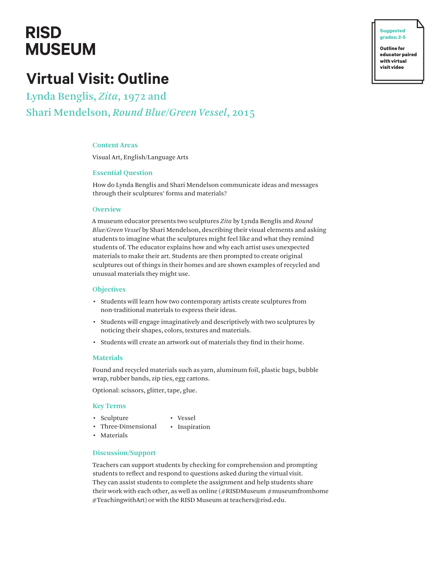# **RISD MUSEUM**

## **Virtual Visit: Outline**

Lynda Benglis, *Zita*, 1972 and Shari Mendelson, *Round Blue/Green Vessel*, 2015

## **Content Areas**

Visual Art, English/Language Arts

## **Essential Question**

How do Lynda Benglis and Shari Mendelson communicate ideas and messages through their sculptures' forms and materials?

#### **Overview**

A museum educator presents two sculptures *Zita* by Lynda Benglis and *Round Blue/Green Vessel* by Shari Mendelson, describing their visual elements and asking students to imagine what the sculptures might feel like and what they remind students of. The educator explains how and why each artist uses unexpected materials to make their art. Students are then prompted to create original sculptures out of things in their homes and are shown examples of recycled and unusual materials they might use.

#### **Objectives**

- Students will learn how two contemporary artists create sculptures from non-traditional materials to express their ideas.
- Students will engage imaginatively and descriptively with two sculptures by noticing their shapes, colors, textures and materials.
- Students will create an artwork out of materials they find in their home.

## **Materials**

Found and recycled materials such as yarn, aluminum foil, plastic bags, bubble wrap, rubber bands, zip ties, egg cartons.

Optional: scissors, glitter, tape, glue.

#### **Key Terms**

- Sculpture
- Vessel
- Three-Dimensional • Inspiration
- Materials

## **Discussion/Support**

Teachers can support students by checking for comprehension and prompting students to reflect and respond to questions asked during the virtual visit. They can assist students to complete the assignment and help students share their work with each other, as well as online (#RISDMuseum #museumfromhome #TeachingwithArt) or with the RISD Museum at teachers@risd.edu.

**� Suggested grades: 2-5**

**Outline for educator paired with virtual visit video**